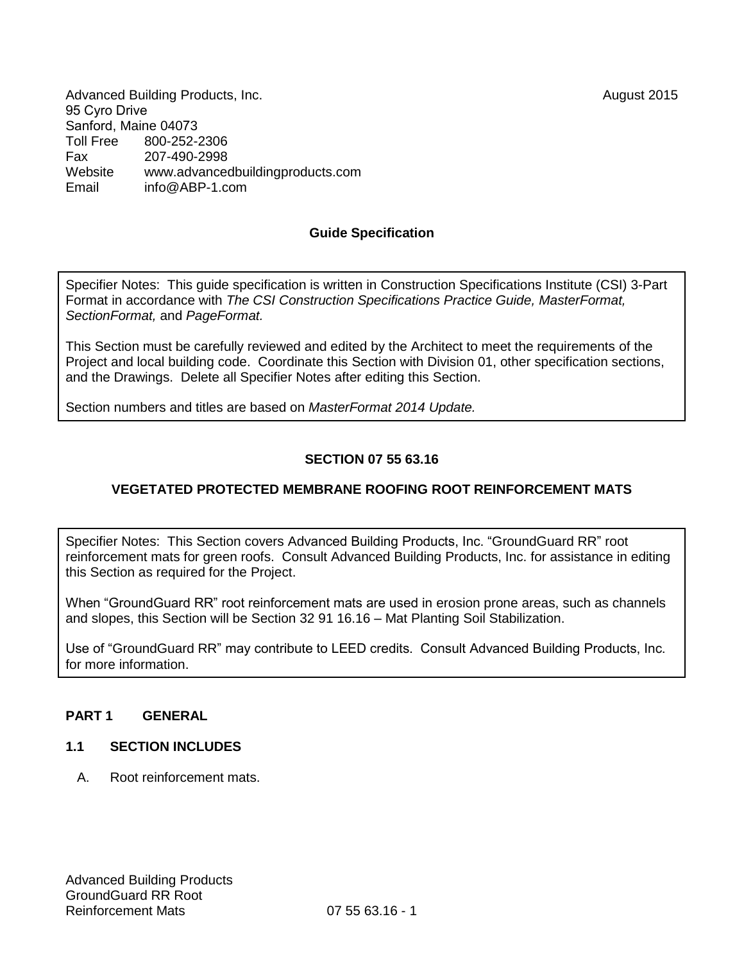Advanced Building Products, Inc. **August 2015** 95 Cyro Drive Sanford, Maine 04073<br>Toll Free 800-252-2 Toll Free 800-252-2306 Fax 207-490-2998 Website [www.advancedbuildingproducts.com](http://www.advancedbuildingproducts.com/) Email inf[o@ABP-1.com](mailto:bbb@aaaa.com)

### **Guide Specification**

Specifier Notes: This guide specification is written in Construction Specifications Institute (CSI) 3-Part Format in accordance with *The CSI Construction Specifications Practice Guide, MasterFormat, SectionFormat,* and *PageFormat.* 

This Section must be carefully reviewed and edited by the Architect to meet the requirements of the Project and local building code. Coordinate this Section with Division 01, other specification sections, and the Drawings. Delete all Specifier Notes after editing this Section.

Section numbers and titles are based on *MasterFormat 2014 Update.*

### **SECTION 07 55 63.16**

### **VEGETATED PROTECTED MEMBRANE ROOFING ROOT REINFORCEMENT MATS**

Specifier Notes: This Section covers Advanced Building Products, Inc. "GroundGuard RR" root reinforcement mats for green roofs. Consult Advanced Building Products, Inc. for assistance in editing this Section as required for the Project.

When "GroundGuard RR" root reinforcement mats are used in erosion prone areas, such as channels and slopes, this Section will be Section 32 91 16.16 – Mat Planting Soil Stabilization.

Use of "GroundGuard RR" may contribute to LEED credits. Consult Advanced Building Products, Inc. for more information.

#### **PART 1 GENERAL**

#### **1.1 SECTION INCLUDES**

A. Root reinforcement mats.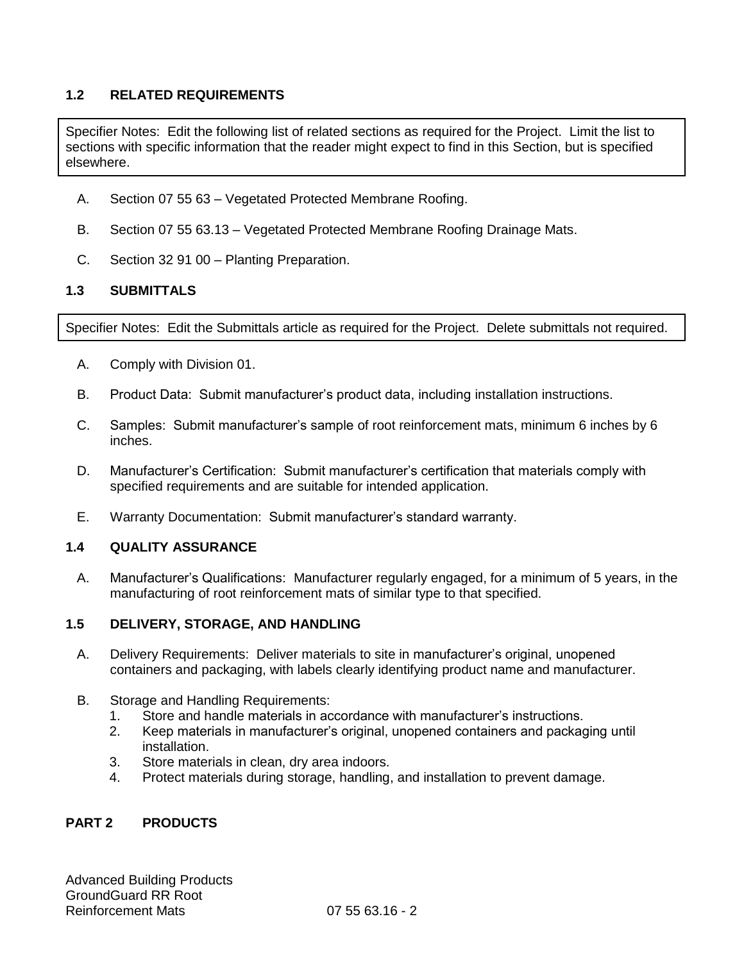# **1.2 RELATED REQUIREMENTS**

Specifier Notes: Edit the following list of related sections as required for the Project. Limit the list to sections with specific information that the reader might expect to find in this Section, but is specified elsewhere.

- A. Section 07 55 63 Vegetated Protected Membrane Roofing.
- B. Section 07 55 63.13 Vegetated Protected Membrane Roofing Drainage Mats.
- C. Section 32 91 00 Planting Preparation.

### **1.3 SUBMITTALS**

Specifier Notes: Edit the Submittals article as required for the Project. Delete submittals not required.

- A. Comply with Division 01.
- B. Product Data: Submit manufacturer's product data, including installation instructions.
- C. Samples: Submit manufacturer's sample of root reinforcement mats, minimum 6 inches by 6 inches.
- D. Manufacturer's Certification: Submit manufacturer's certification that materials comply with specified requirements and are suitable for intended application.
- E. Warranty Documentation: Submit manufacturer's standard warranty.

#### **1.4 QUALITY ASSURANCE**

A. Manufacturer's Qualifications: Manufacturer regularly engaged, for a minimum of 5 years, in the manufacturing of root reinforcement mats of similar type to that specified.

### **1.5 DELIVERY, STORAGE, AND HANDLING**

- A. Delivery Requirements: Deliver materials to site in manufacturer's original, unopened containers and packaging, with labels clearly identifying product name and manufacturer.
- B. Storage and Handling Requirements:
	- 1. Store and handle materials in accordance with manufacturer's instructions.
	- 2. Keep materials in manufacturer's original, unopened containers and packaging until installation.
	- 3. Store materials in clean, dry area indoors.
	- 4. Protect materials during storage, handling, and installation to prevent damage.

# **PART 2 PRODUCTS**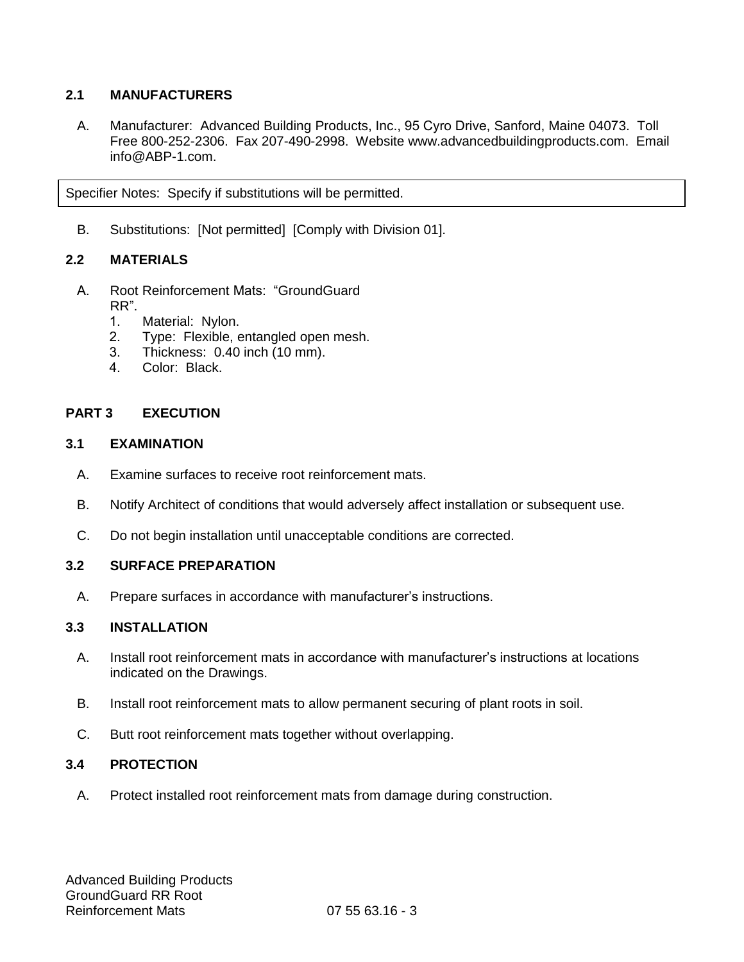# **2.1 MANUFACTURERS**

A. Manufacturer: Advanced Building Products, Inc., 95 Cyro Drive, Sanford, Maine 04073. Toll Free 800-252-2306. Fax 207-490-2998. Website [www.advancedbuildingproducts.com.](http://www.advancedbuildingproducts.com/) Email info@ABP-1.com.

Specifier Notes: Specify if substitutions will be permitted.

B. Substitutions: [Not permitted] [Comply with Division 01].

### **2.2 MATERIALS**

- A. Root Reinforcement Mats: "GroundGuard RR".
	- 1. Material: Nylon.
	- 2. Type: Flexible, entangled open mesh.
	- 3. Thickness: 0.40 inch (10 mm).
	- 4. Color: Black.

### **PART 3 EXECUTION**

#### **3.1 EXAMINATION**

- A. Examine surfaces to receive root reinforcement mats.
- B. Notify Architect of conditions that would adversely affect installation or subsequent use.
- C. Do not begin installation until unacceptable conditions are corrected.

### **3.2 SURFACE PREPARATION**

A. Prepare surfaces in accordance with manufacturer's instructions.

# **3.3 INSTALLATION**

- A. Install root reinforcement mats in accordance with manufacturer's instructions at locations indicated on the Drawings.
- B. Install root reinforcement mats to allow permanent securing of plant roots in soil.
- C. Butt root reinforcement mats together without overlapping.

### **3.4 PROTECTION**

A. Protect installed root reinforcement mats from damage during construction.